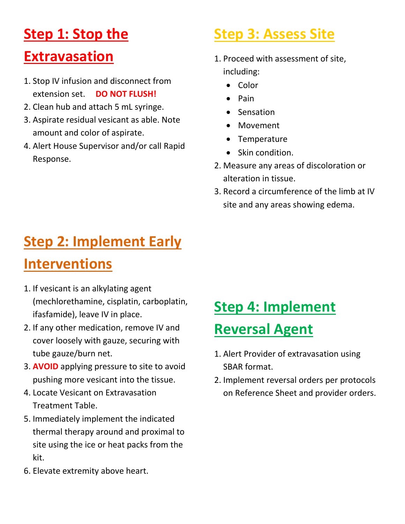# **Step 1: Stop the**

#### **Extravasation**

- 1. Stop IV infusion and disconnect from extension set. **DO NOT FLUSH!**
- 2. Clean hub and attach 5 mL syringe.
- 3. Aspirate residual vesicant as able. Note amount and color of aspirate.
- 4. Alert House Supervisor and/or call Rapid Response.

# **Step 3: Assess Site**

- 1. Proceed with assessment of site, including:
	- Color
	- Pain
	- Sensation
	- Movement
	- Temperature
	- Skin condition.
- 2. Measure any areas of discoloration or alteration in tissue.
- 3. Record a circumference of the limb at IV site and any areas showing edema.

# **Step 2: Implement Early**

### **Interventions**

- 1. If vesicant is an alkylating agent (mechlorethamine, cisplatin, carboplatin, ifasfamide), leave IV in place.
- 2. If any other medication, remove IV and cover loosely with gauze, securing with tube gauze/burn net.
- 3. **AVOID** applying pressure to site to avoid pushing more vesicant into the tissue.
- 4. Locate Vesicant on Extravasation Treatment Table.
- 5. Immediately implement the indicated thermal therapy around and proximal to site using the ice or heat packs from the kit.
- 6. Elevate extremity above heart.

# **Step 4: Implement**

### **Reversal Agent**

- 1. Alert Provider of extravasation using SBAR format.
- 2. Implement reversal orders per protocols on Reference Sheet and provider orders.